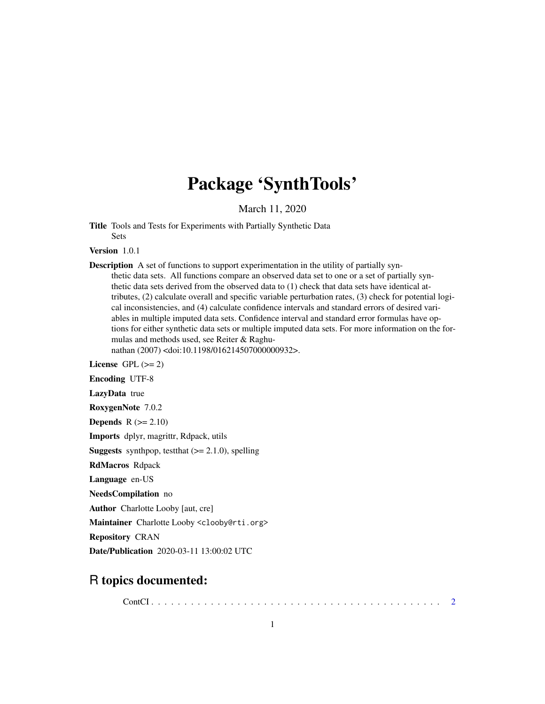# Package 'SynthTools'

March 11, 2020

Title Tools and Tests for Experiments with Partially Synthetic Data Sets

Version 1.0.1

Description A set of functions to support experimentation in the utility of partially synthetic data sets. All functions compare an observed data set to one or a set of partially synthetic data sets derived from the observed data to (1) check that data sets have identical attributes, (2) calculate overall and specific variable perturbation rates, (3) check for potential logical inconsistencies, and (4) calculate confidence intervals and standard errors of desired variables in multiple imputed data sets. Confidence interval and standard error formulas have options for either synthetic data sets or multiple imputed data sets. For more information on the formulas and methods used, see Reiter & Raghu-

nathan (2007) <doi:10.1198/016214507000000932>.

License GPL  $(>= 2)$ 

Encoding UTF-8

LazyData true

RoxygenNote 7.0.2

**Depends**  $R$  ( $>= 2.10$ )

Imports dplyr, magrittr, Rdpack, utils

**Suggests** synthpop, test that  $(>= 2.1.0)$ , spelling

RdMacros Rdpack

Language en-US

NeedsCompilation no

Author Charlotte Looby [aut, cre]

Maintainer Charlotte Looby <clooby@rti.org>

Repository CRAN

Date/Publication 2020-03-11 13:00:02 UTC

# R topics documented:

ContCI . . . . . . . . . . . . . . . . . . . . . . . . . . . . . . . . . . . . . . . . . . . . [2](#page-1-0)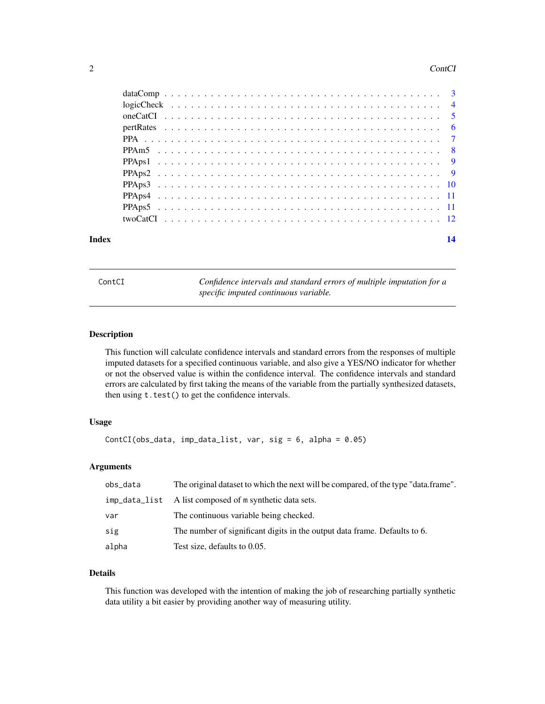#### <span id="page-1-0"></span>2 ContCl

| Index | 14 |
|-------|----|
|       |    |
|       |    |
|       |    |
|       |    |
|       |    |
|       |    |
|       |    |
|       |    |
|       |    |
|       |    |
|       |    |
|       |    |

| ۱n<br>r |  |  |
|---------|--|--|

Confidence intervals and standard errors of multiple imputation for a *specific imputed continuous variable.*

#### Description

This function will calculate confidence intervals and standard errors from the responses of multiple imputed datasets for a specified continuous variable, and also give a YES/NO indicator for whether or not the observed value is within the confidence interval. The confidence intervals and standard errors are calculated by first taking the means of the variable from the partially synthesized datasets, then using  $t.test()$  to get the confidence intervals.

# Usage

```
ContCI(obs_data, imp_data_list, var, sig = 6, alpha = 0.05)
```
#### Arguments

| obs_data | The original dataset to which the next will be compared, of the type "data.frame". |
|----------|------------------------------------------------------------------------------------|
|          | imp_data_list A list composed of m synthetic data sets.                            |
| var      | The continuous variable being checked.                                             |
| sig      | The number of significant digits in the output data frame. Defaults to 6.          |
| alpha    | Test size, defaults to 0.05.                                                       |

# Details

This function was developed with the intention of making the job of researching partially synthetic data utility a bit easier by providing another way of measuring utility.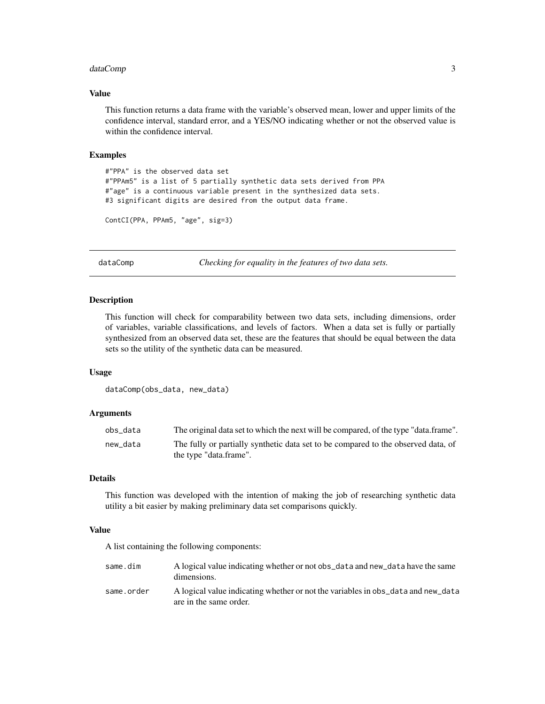# <span id="page-2-0"></span>dataComp 3

#### Value

This function returns a data frame with the variable's observed mean, lower and upper limits of the confidence interval, standard error, and a YES/NO indicating whether or not the observed value is within the confidence interval.

## Examples

```
#"PPA" is the observed data set
#"PPAm5" is a list of 5 partially synthetic data sets derived from PPA
#"age" is a continuous variable present in the synthesized data sets.
#3 significant digits are desired from the output data frame.
```

```
ContCI(PPA, PPAm5, "age", sig=3)
```
dataComp *Checking for equality in the features of two data sets.*

#### **Description**

This function will check for comparability between two data sets, including dimensions, order of variables, variable classifications, and levels of factors. When a data set is fully or partially synthesized from an observed data set, these are the features that should be equal between the data sets so the utility of the synthetic data can be measured.

#### Usage

```
dataComp(obs_data, new_data)
```
# Arguments

| obs_data | The original data set to which the next will be compared, of the type "data.frame".                         |
|----------|-------------------------------------------------------------------------------------------------------------|
| new_data | The fully or partially synthetic data set to be compared to the observed data, of<br>the type "data.frame". |

# Details

This function was developed with the intention of making the job of researching synthetic data utility a bit easier by making preliminary data set comparisons quickly.

#### Value

A list containing the following components:

| same.dim   | A logical value indicating whether or not obs_data and new_data have the same<br>dimensions.               |
|------------|------------------------------------------------------------------------------------------------------------|
| same.order | A logical value indicating whether or not the variables in obs_data and new_data<br>are in the same order. |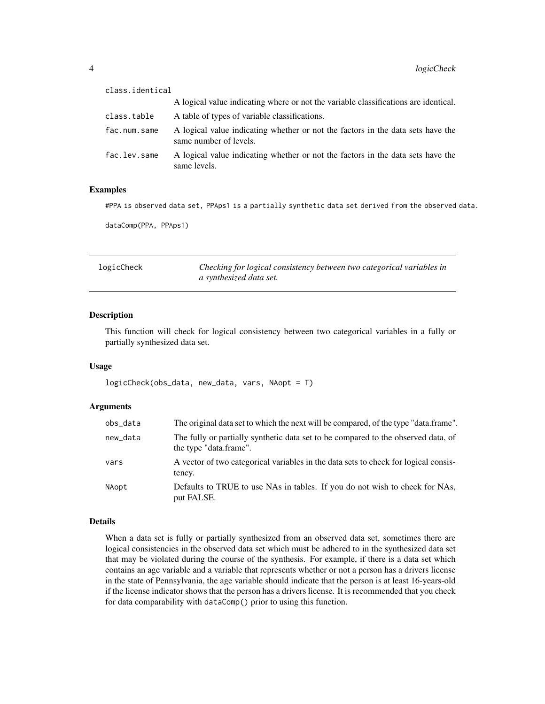<span id="page-3-0"></span>

| class.identical |                                                                                                           |
|-----------------|-----------------------------------------------------------------------------------------------------------|
|                 | A logical value indicating where or not the variable classifications are identical.                       |
| class.table     | A table of types of variable classifications.                                                             |
| fac.num.same    | A logical value indicating whether or not the factors in the data sets have the<br>same number of levels. |
| fac.lev.same    | A logical value indicating whether or not the factors in the data sets have the<br>same levels.           |

#### Examples

#PPA is observed data set, PPAps1 is a partially synthetic data set derived from the observed data.

dataComp(PPA, PPAps1)

logicCheck *Checking for logical consistency between two categorical variables in a synthesized data set.*

#### Description

This function will check for logical consistency between two categorical variables in a fully or partially synthesized data set.

# Usage

logicCheck(obs\_data, new\_data, vars, NAopt = T)

# Arguments

| obs_data | The original data set to which the next will be compared, of the type "data.frame".                         |
|----------|-------------------------------------------------------------------------------------------------------------|
| new_data | The fully or partially synthetic data set to be compared to the observed data, of<br>the type "data.frame". |
| vars     | A vector of two categorical variables in the data sets to check for logical consis-<br>tency.               |
| NAopt    | Defaults to TRUE to use NAs in tables. If you do not wish to check for NAs,<br>put FALSE.                   |

#### Details

When a data set is fully or partially synthesized from an observed data set, sometimes there are logical consistencies in the observed data set which must be adhered to in the synthesized data set that may be violated during the course of the synthesis. For example, if there is a data set which contains an age variable and a variable that represents whether or not a person has a drivers license in the state of Pennsylvania, the age variable should indicate that the person is at least 16-years-old if the license indicator shows that the person has a drivers license. It is recommended that you check for data comparability with dataComp() prior to using this function.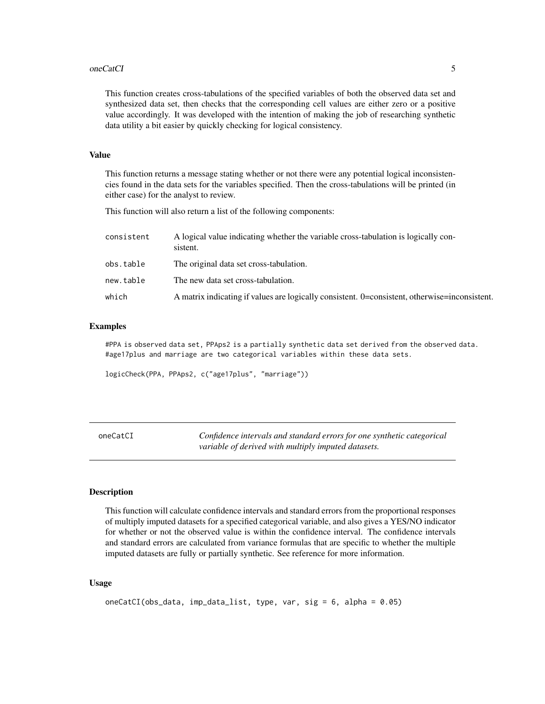#### <span id="page-4-0"></span>oneCatCI 5

This function creates cross-tabulations of the specified variables of both the observed data set and synthesized data set, then checks that the corresponding cell values are either zero or a positive value accordingly. It was developed with the intention of making the job of researching synthetic data utility a bit easier by quickly checking for logical consistency.

#### Value

This function returns a message stating whether or not there were any potential logical inconsistencies found in the data sets for the variables specified. Then the cross-tabulations will be printed (in either case) for the analyst to review.

This function will also return a list of the following components:

| consistent | A logical value indicating whether the variable cross-tabulation is logically con-<br>sistent. |
|------------|------------------------------------------------------------------------------------------------|
| obs.table  | The original data set cross-tabulation.                                                        |
| new.table  | The new data set cross-tabulation.                                                             |
| which      | A matrix indicating if values are logically consistent. 0=consistent, otherwise=inconsistent.  |

#### Examples

#PPA is observed data set, PPAps2 is a partially synthetic data set derived from the observed data. #age17plus and marriage are two categorical variables within these data sets.

logicCheck(PPA, PPAps2, c("age17plus", "marriage"))

| oneCatCI | Confidence intervals and standard errors for one synthetic categorical |
|----------|------------------------------------------------------------------------|
|          | variable of derived with multiply imputed datasets.                    |

#### Description

This function will calculate confidence intervals and standard errors from the proportional responses of multiply imputed datasets for a specified categorical variable, and also gives a YES/NO indicator for whether or not the observed value is within the confidence interval. The confidence intervals and standard errors are calculated from variance formulas that are specific to whether the multiple imputed datasets are fully or partially synthetic. See reference for more information.

### Usage

```
oneCatCI(obs_data, imp_data_list, type, var, sig = 6, alpha = 0.05)
```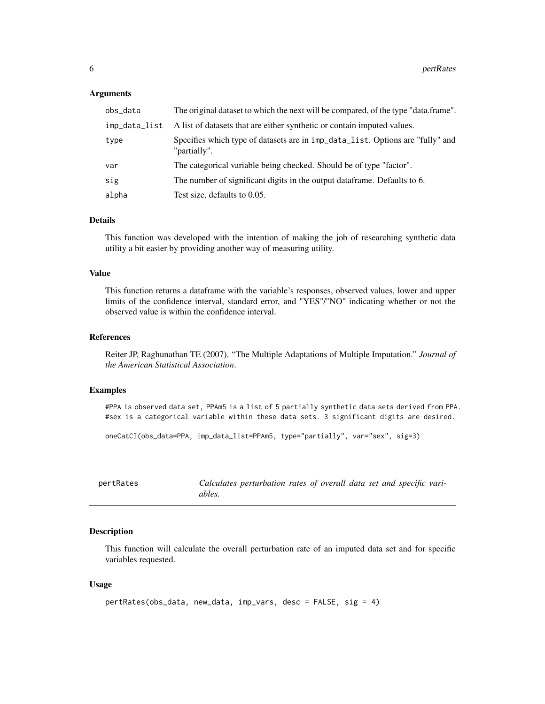#### <span id="page-5-0"></span>**Arguments**

| obs_data      | The original dataset to which the next will be compared, of the type "data.frame".             |
|---------------|------------------------------------------------------------------------------------------------|
| imp_data_list | A list of datasets that are either synthetic or contain imputed values.                        |
| type          | Specifies which type of datasets are in imp_data_list. Options are "fully" and<br>"partially". |
| var           | The categorical variable being checked. Should be of type "factor".                            |
| sig           | The number of significant digits in the output dataframe. Defaults to 6.                       |
| alpha         | Test size, defaults to 0.05.                                                                   |

#### Details

This function was developed with the intention of making the job of researching synthetic data utility a bit easier by providing another way of measuring utility.

# Value

This function returns a dataframe with the variable's responses, observed values, lower and upper limits of the confidence interval, standard error, and "YES"/"NO" indicating whether or not the observed value is within the confidence interval.

# References

Reiter JP, Raghunathan TE (2007). "The Multiple Adaptations of Multiple Imputation." *Journal of the American Statistical Association*.

#### Examples

#PPA is observed data set, PPAm5 is a list of 5 partially synthetic data sets derived from PPA. #sex is a categorical variable within these data sets. 3 significant digits are desired.

```
oneCatCI(obs_data=PPA, imp_data_list=PPAm5, type="partially", var="sex", sig=3)
```

| pertRates |        | Calculates perturbation rates of overall data set and specific vari- |  |  |  |  |
|-----------|--------|----------------------------------------------------------------------|--|--|--|--|
|           | ables. |                                                                      |  |  |  |  |

#### Description

This function will calculate the overall perturbation rate of an imputed data set and for specific variables requested.

#### Usage

```
pertRates(obs_data, new_data, imp_vars, desc = FALSE, sig = 4)
```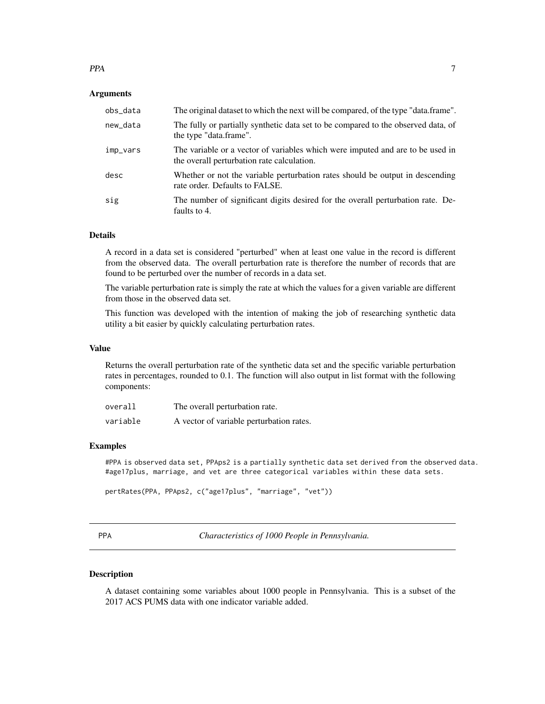<span id="page-6-0"></span>**Arguments** 

| obs_data | The original dataset to which the next will be compared, of the type "data.frame".                                           |
|----------|------------------------------------------------------------------------------------------------------------------------------|
| new_data | The fully or partially synthetic data set to be compared to the observed data, of<br>the type "data.frame".                  |
| imp_vars | The variable or a vector of variables which were imputed and are to be used in<br>the overall perturbation rate calculation. |
| desc     | Whether or not the variable perturbation rates should be output in descending<br>rate order. Defaults to FALSE.              |
| sig      | The number of significant digits desired for the overall perturbation rate. De-<br>faults to 4.                              |

#### Details

A record in a data set is considered "perturbed" when at least one value in the record is different from the observed data. The overall perturbation rate is therefore the number of records that are found to be perturbed over the number of records in a data set.

The variable perturbation rate is simply the rate at which the values for a given variable are different from those in the observed data set.

This function was developed with the intention of making the job of researching synthetic data utility a bit easier by quickly calculating perturbation rates.

#### Value

Returns the overall perturbation rate of the synthetic data set and the specific variable perturbation rates in percentages, rounded to 0.1. The function will also output in list format with the following components:

| overall  | The overall perturbation rate.           |
|----------|------------------------------------------|
| variable | A vector of variable perturbation rates. |

#### Examples

#PPA is observed data set, PPAps2 is a partially synthetic data set derived from the observed data. #age17plus, marriage, and vet are three categorical variables within these data sets.

```
pertRates(PPA, PPAps2, c("age17plus", "marriage", "vet"))
```

*Characteristics of 1000 People in Pennsylvania.* 

#### Description

A dataset containing some variables about 1000 people in Pennsylvania. This is a subset of the 2017 ACS PUMS data with one indicator variable added.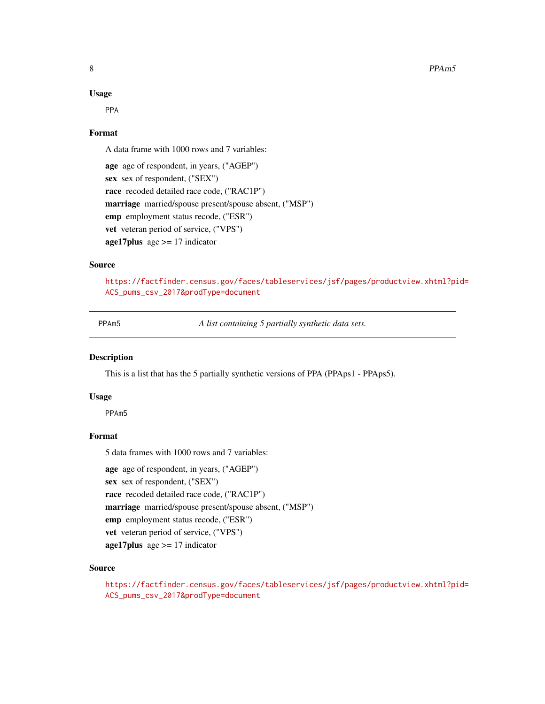#### <span id="page-7-0"></span>Usage

PPA

# Format

A data frame with 1000 rows and 7 variables:

```
age age of respondent, in years, ("AGEP")
sex sex of respondent, ("SEX")
race recoded detailed race code, ("RAC1P")
marriage married/spouse present/spouse absent, ("MSP")
emp employment status recode, ("ESR")
vet veteran period of service, ("VPS")
age17plus age \ge = 17 indicator
```
#### Source

[https://factfinder.census.gov/faces/tableservices/jsf/pages/productview.xhtml?pi](https://factfinder.census.gov/faces/tableservices/jsf/pages/productview.xhtml?pid=ACS_pums_csv_2017&prodType=document)d= [ACS\\_pums\\_csv\\_2017&prodType=document](https://factfinder.census.gov/faces/tableservices/jsf/pages/productview.xhtml?pid=ACS_pums_csv_2017&prodType=document)

PPAm5 *A list containing 5 partially synthetic data sets.*

# Description

This is a list that has the 5 partially synthetic versions of PPA (PPAps1 - PPAps5).

#### Usage

PPAm5

# Format

5 data frames with 1000 rows and 7 variables:

age age of respondent, in years, ("AGEP")

sex sex of respondent, ("SEX")

race recoded detailed race code, ("RAC1P")

marriage married/spouse present/spouse absent, ("MSP")

emp employment status recode, ("ESR")

vet veteran period of service, ("VPS")

 $age17 plus age > = 17 indicator$ 

#### Source

[https://factfinder.census.gov/faces/tableservices/jsf/pages/productview.xhtml?pi](https://factfinder.census.gov/faces/tableservices/jsf/pages/productview.xhtml?pid=ACS_pums_csv_2017&prodType=document)d= [ACS\\_pums\\_csv\\_2017&prodType=document](https://factfinder.census.gov/faces/tableservices/jsf/pages/productview.xhtml?pid=ACS_pums_csv_2017&prodType=document)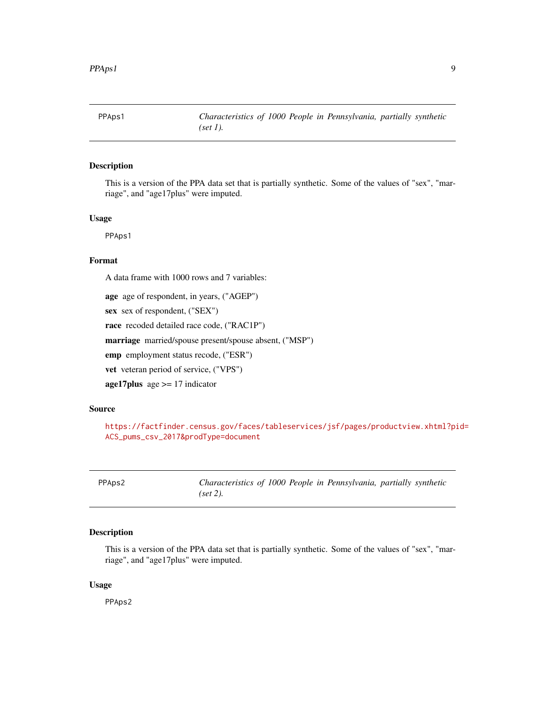<span id="page-8-0"></span>

# Description

This is a version of the PPA data set that is partially synthetic. Some of the values of "sex", "marriage", and "age17plus" were imputed.

#### Usage

PPAps1

# Format

A data frame with 1000 rows and 7 variables:

age age of respondent, in years, ("AGEP")

sex sex of respondent, ("SEX")

race recoded detailed race code, ("RAC1P")

marriage married/spouse present/spouse absent, ("MSP")

emp employment status recode, ("ESR")

vet veteran period of service, ("VPS")

age17plus age  $\ge$  = 17 indicator

#### Source

[https://factfinder.census.gov/faces/tableservices/jsf/pages/productview.xhtml?pi](https://factfinder.census.gov/faces/tableservices/jsf/pages/productview.xhtml?pid=ACS_pums_csv_2017&prodType=document)d= [ACS\\_pums\\_csv\\_2017&prodType=document](https://factfinder.census.gov/faces/tableservices/jsf/pages/productview.xhtml?pid=ACS_pums_csv_2017&prodType=document)

PPAps2 *Characteristics of 1000 People in Pennsylvania, partially synthetic (set 2).*

# Description

This is a version of the PPA data set that is partially synthetic. Some of the values of "sex", "marriage", and "age17plus" were imputed.

#### Usage

PPAps2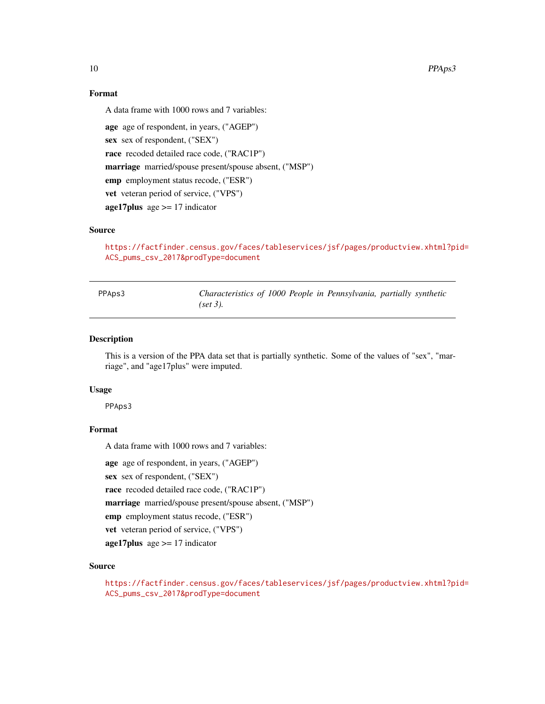# Format

A data frame with 1000 rows and 7 variables:

```
age age of respondent, in years, ("AGEP")
sex sex of respondent, ("SEX")
race recoded detailed race code, ("RAC1P")
marriage married/spouse present/spouse absent, ("MSP")
emp employment status recode, ("ESR")
vet veteran period of service, ("VPS")
age17 plus age > = 17 indicator
```
# Source

[https://factfinder.census.gov/faces/tableservices/jsf/pages/productview.xhtml?pi](https://factfinder.census.gov/faces/tableservices/jsf/pages/productview.xhtml?pid=ACS_pums_csv_2017&prodType=document)d= [ACS\\_pums\\_csv\\_2017&prodType=document](https://factfinder.census.gov/faces/tableservices/jsf/pages/productview.xhtml?pid=ACS_pums_csv_2017&prodType=document)

| PPAps3 | Characteristics of 1000 People in Pennsylvania, partially synthetic |  |  |  |  |
|--------|---------------------------------------------------------------------|--|--|--|--|
|        | $(set 3)$ .                                                         |  |  |  |  |

#### Description

This is a version of the PPA data set that is partially synthetic. Some of the values of "sex", "marriage", and "age17plus" were imputed.

# Usage

PPAps3

# Format

A data frame with 1000 rows and 7 variables:

age age of respondent, in years, ("AGEP")

sex sex of respondent, ("SEX")

race recoded detailed race code, ("RAC1P")

marriage married/spouse present/spouse absent, ("MSP")

emp employment status recode, ("ESR")

vet veteran period of service, ("VPS")

 $age17 plus age > = 17 indicator$ 

# Source

[https://factfinder.census.gov/faces/tableservices/jsf/pages/productview.xhtml?pi](https://factfinder.census.gov/faces/tableservices/jsf/pages/productview.xhtml?pid=ACS_pums_csv_2017&prodType=document)d= [ACS\\_pums\\_csv\\_2017&prodType=document](https://factfinder.census.gov/faces/tableservices/jsf/pages/productview.xhtml?pid=ACS_pums_csv_2017&prodType=document)

<span id="page-9-0"></span>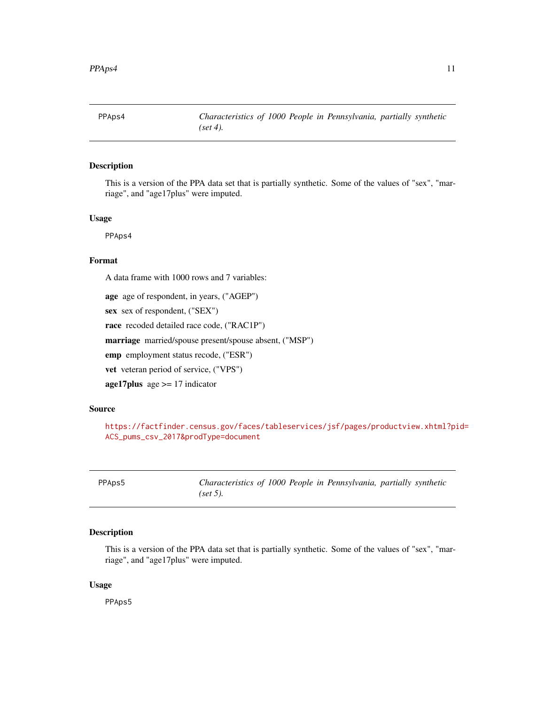<span id="page-10-0"></span>

# Description

This is a version of the PPA data set that is partially synthetic. Some of the values of "sex", "marriage", and "age17plus" were imputed.

#### Usage

PPAps4

# Format

A data frame with 1000 rows and 7 variables:

age age of respondent, in years, ("AGEP")

sex sex of respondent, ("SEX")

race recoded detailed race code, ("RAC1P")

marriage married/spouse present/spouse absent, ("MSP")

emp employment status recode, ("ESR")

vet veteran period of service, ("VPS")

age17plus age  $\ge$  = 17 indicator

#### Source

[https://factfinder.census.gov/faces/tableservices/jsf/pages/productview.xhtml?pi](https://factfinder.census.gov/faces/tableservices/jsf/pages/productview.xhtml?pid=ACS_pums_csv_2017&prodType=document)d= [ACS\\_pums\\_csv\\_2017&prodType=document](https://factfinder.census.gov/faces/tableservices/jsf/pages/productview.xhtml?pid=ACS_pums_csv_2017&prodType=document)

PPAps5 *Characteristics of 1000 People in Pennsylvania, partially synthetic (set 5).*

# Description

This is a version of the PPA data set that is partially synthetic. Some of the values of "sex", "marriage", and "age17plus" were imputed.

#### Usage

PPAps5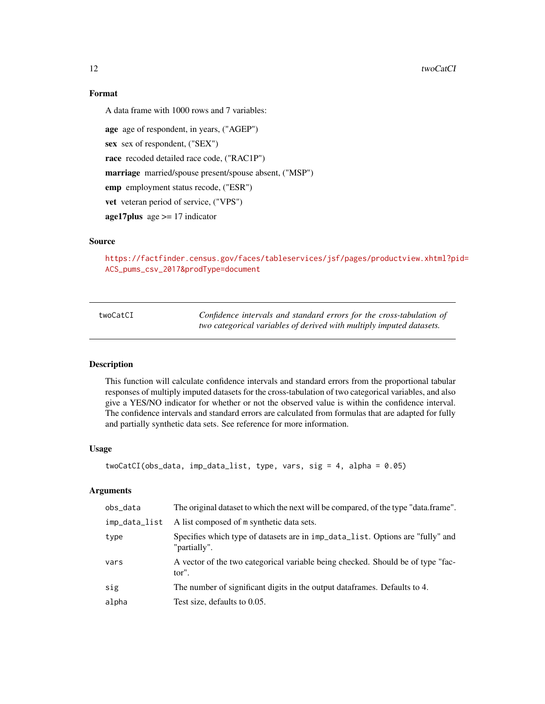# <span id="page-11-0"></span>Format

A data frame with 1000 rows and 7 variables:

age age of respondent, in years, ("AGEP") sex sex of respondent, ("SEX") race recoded detailed race code, ("RAC1P") marriage married/spouse present/spouse absent, ("MSP") emp employment status recode, ("ESR") vet veteran period of service, ("VPS")  $age17 plus age > = 17 indicator$ 

# Source

[https://factfinder.census.gov/faces/tableservices/jsf/pages/productview.xhtml?pi](https://factfinder.census.gov/faces/tableservices/jsf/pages/productview.xhtml?pid=ACS_pums_csv_2017&prodType=document)d= [ACS\\_pums\\_csv\\_2017&prodType=document](https://factfinder.census.gov/faces/tableservices/jsf/pages/productview.xhtml?pid=ACS_pums_csv_2017&prodType=document)

| twoCatCI |
|----------|
|----------|

Confidence intervals and standard errors for the cross-tabulation of *two categorical variables of derived with multiply imputed datasets.*

# Description

This function will calculate confidence intervals and standard errors from the proportional tabular responses of multiply imputed datasets for the cross-tabulation of two categorical variables, and also give a YES/NO indicator for whether or not the observed value is within the confidence interval. The confidence intervals and standard errors are calculated from formulas that are adapted for fully and partially synthetic data sets. See reference for more information.

#### Usage

```
twoCatCI(obs_data, imp_data_list, type, vars, sig = 4, alpha = 0.05)
```
#### Arguments

| obs_data      | The original dataset to which the next will be compared, of the type "data.frame".             |
|---------------|------------------------------------------------------------------------------------------------|
| imp_data_list | A list composed of m synthetic data sets.                                                      |
| type          | Specifies which type of datasets are in imp_data_list. Options are "fully" and<br>"partially". |
| vars          | A vector of the two categorical variable being checked. Should be of type "fac-<br>tor".       |
| sig           | The number of significant digits in the output data frames. Defaults to 4.                     |
| alpha         | Test size, defaults to 0.05.                                                                   |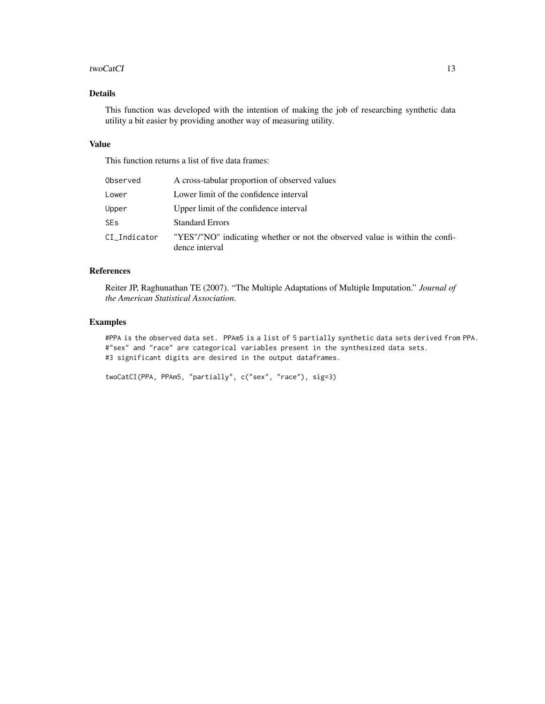#### twoCatCI 13

# Details

This function was developed with the intention of making the job of researching synthetic data utility a bit easier by providing another way of measuring utility.

# Value

This function returns a list of five data frames:

| Observed        | A cross-tabular proportion of observed values                                                  |
|-----------------|------------------------------------------------------------------------------------------------|
| Lower           | Lower limit of the confidence interval                                                         |
| Upper           | Upper limit of the confidence interval                                                         |
| SE <sub>S</sub> | <b>Standard Errors</b>                                                                         |
| CI_Indicator    | "YES"/"NO" indicating whether or not the observed value is within the confi-<br>dence interval |

# References

Reiter JP, Raghunathan TE (2007). "The Multiple Adaptations of Multiple Imputation." *Journal of the American Statistical Association*.

# Examples

#PPA is the observed data set. PPAm5 is a list of 5 partially synthetic data sets derived from PPA. #"sex" and "race" are categorical variables present in the synthesized data sets. #3 significant digits are desired in the output dataframes.

```
twoCatCI(PPA, PPAm5, "partially", c("sex", "race"), sig=3)
```